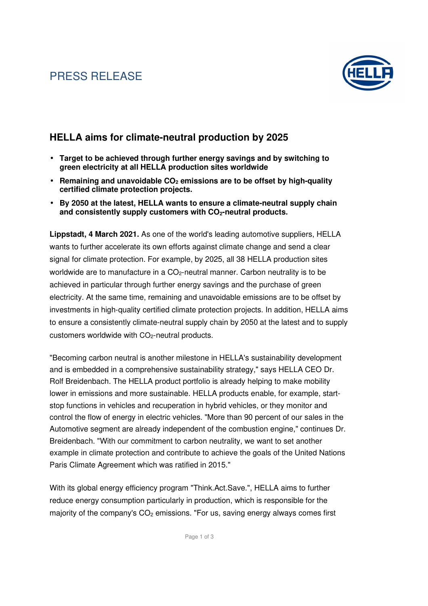# PRESS RELEASE



#### **HELLA aims for climate-neutral production by 2025**

- **Target to be achieved through further energy savings and by switching to green electricity at all HELLA production sites worldwide**
- **Remaining and unavoidable CO2 emissions are to be offset by high-quality certified climate protection projects.**
- **By 2050 at the latest, HELLA wants to ensure a climate-neutral supply chain and consistently supply customers with CO2-neutral products.**

**Lippstadt, 4 March 2021.** As one of the world's leading automotive suppliers, HELLA wants to further accelerate its own efforts against climate change and send a clear signal for climate protection. For example, by 2025, all 38 HELLA production sites worldwide are to manufacture in a CO<sub>2</sub>-neutral manner. Carbon neutrality is to be achieved in particular through further energy savings and the purchase of green electricity. At the same time, remaining and unavoidable emissions are to be offset by investments in high-quality certified climate protection projects. In addition, HELLA aims to ensure a consistently climate-neutral supply chain by 2050 at the latest and to supply customers worldwide with CO<sub>2</sub>-neutral products.

"Becoming carbon neutral is another milestone in HELLA's sustainability development and is embedded in a comprehensive sustainability strategy," says HELLA CEO Dr. Rolf Breidenbach. The HELLA product portfolio is already helping to make mobility lower in emissions and more sustainable. HELLA products enable, for example, startstop functions in vehicles and recuperation in hybrid vehicles, or they monitor and control the flow of energy in electric vehicles. "More than 90 percent of our sales in the Automotive segment are already independent of the combustion engine," continues Dr. Breidenbach. "With our commitment to carbon neutrality, we want to set another example in climate protection and contribute to achieve the goals of the United Nations Paris Climate Agreement which was ratified in 2015."

With its global energy efficiency program "Think.Act.Save.", HELLA aims to further reduce energy consumption particularly in production, which is responsible for the majority of the company's  $CO<sub>2</sub>$  emissions. "For us, saving energy always comes first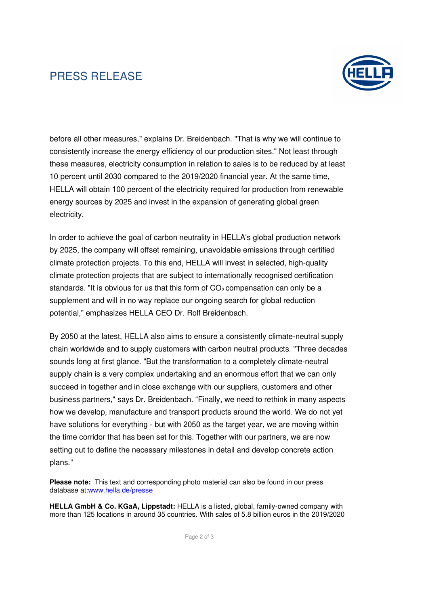# PRESS RELEASE



before all other measures," explains Dr. Breidenbach. "That is why we will continue to consistently increase the energy efficiency of our production sites." Not least through these measures, electricity consumption in relation to sales is to be reduced by at least 10 percent until 2030 compared to the 2019/2020 financial year. At the same time, HELLA will obtain 100 percent of the electricity required for production from renewable energy sources by 2025 and invest in the expansion of generating global green electricity.

In order to achieve the goal of carbon neutrality in HELLA's global production network by 2025, the company will offset remaining, unavoidable emissions through certified climate protection projects. To this end, HELLA will invest in selected, high-quality climate protection projects that are subject to internationally recognised certification standards. "It is obvious for us that this form of  $CO<sub>2</sub>$  compensation can only be a supplement and will in no way replace our ongoing search for global reduction potential," emphasizes HELLA CEO Dr. Rolf Breidenbach.

By 2050 at the latest, HELLA also aims to ensure a consistently climate-neutral supply chain worldwide and to supply customers with carbon neutral products. "Three decades sounds long at first glance. "But the transformation to a completely climate-neutral supply chain is a very complex undertaking and an enormous effort that we can only succeed in together and in close exchange with our suppliers, customers and other business partners," says Dr. Breidenbach. "Finally, we need to rethink in many aspects how we develop, manufacture and transport products around the world. We do not yet have solutions for everything - but with 2050 as the target year, we are moving within the time corridor that has been set for this. Together with our partners, we are now setting out to define the necessary milestones in detail and develop concrete action plans."

**Please note:** This text and corresponding photo material can also be found in our press database at:www.hella.de/presse

**HELLA GmbH & Co. KGaA, Lippstadt:** HELLA is a listed, global, family-owned company with more than 125 locations in around 35 countries. With sales of 5.8 billion euros in the 2019/2020